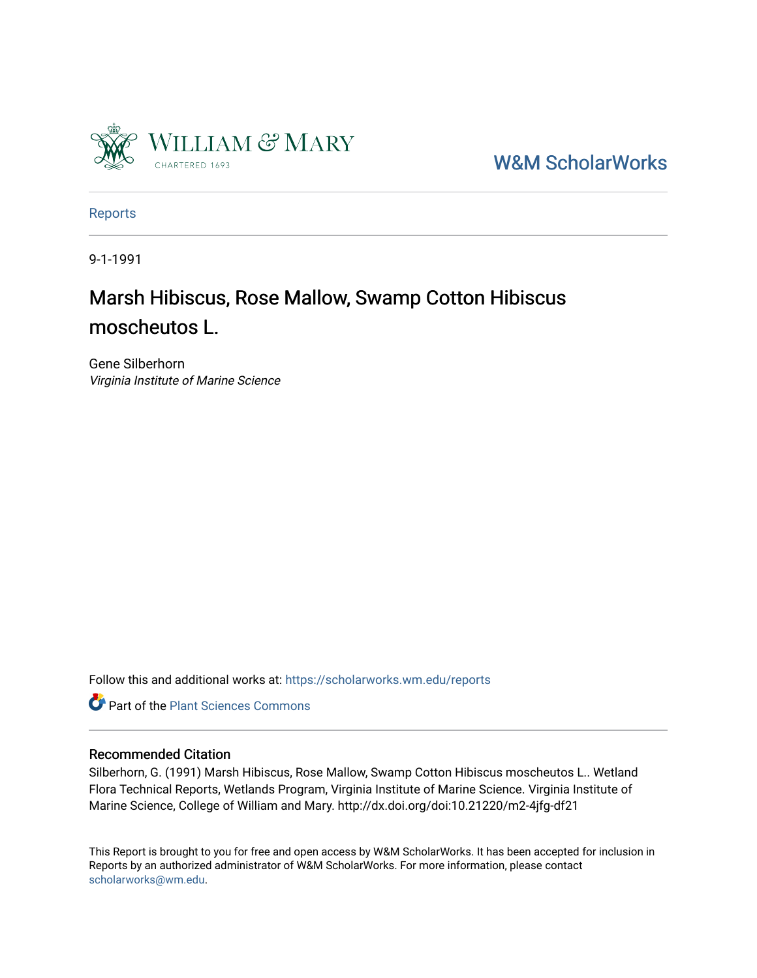

[W&M ScholarWorks](https://scholarworks.wm.edu/) 

[Reports](https://scholarworks.wm.edu/reports)

9-1-1991

## Marsh Hibiscus, Rose Mallow, Swamp Cotton Hibiscus moscheutos L.

Gene Silberhorn Virginia Institute of Marine Science

Follow this and additional works at: [https://scholarworks.wm.edu/reports](https://scholarworks.wm.edu/reports?utm_source=scholarworks.wm.edu%2Freports%2F463&utm_medium=PDF&utm_campaign=PDFCoverPages)



#### Recommended Citation

Silberhorn, G. (1991) Marsh Hibiscus, Rose Mallow, Swamp Cotton Hibiscus moscheutos L.. Wetland Flora Technical Reports, Wetlands Program, Virginia Institute of Marine Science. Virginia Institute of Marine Science, College of William and Mary. http://dx.doi.org/doi:10.21220/m2-4jfg-df21

This Report is brought to you for free and open access by W&M ScholarWorks. It has been accepted for inclusion in Reports by an authorized administrator of W&M ScholarWorks. For more information, please contact [scholarworks@wm.edu.](mailto:scholarworks@wm.edu)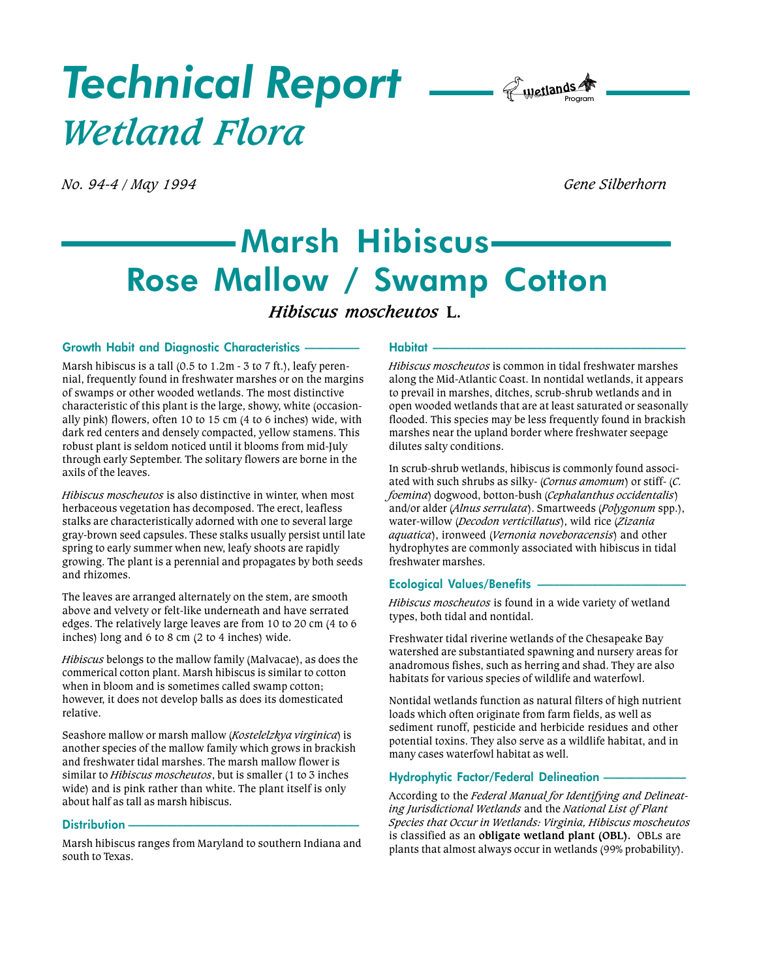# Technical Report  $\rule{1em}{0.15mm}$   $\qquad \qquad$ Wetland Flora

No. 94-4 / May 1994 Gene Silberhorn

## Marsh Hibiscus Rose Mallow / Swamp Cotton

### Hibiscus moscheutos L.

#### Growth Habit and Diagnostic Characteristics

Marsh hibiscus is a tall (0.5 to 1.2m - 3 to 7 ft.), leafy perennial, frequently found in freshwater marshes or on the margins of swamps or other wooded wetlands. The most distinctive characteristic of this plant is the large, showy, white (occasionally pink) flowers, often 10 to 15 cm (4 to 6 inches) wide, with dark red centers and densely compacted, yellow stamens. This robust plant is seldom noticed until it blooms from mid-July through early September. The solitary flowers are borne in the axils of the leaves.

Hibiscus moscheutos is also distinctive in winter, when most herbaceous vegetation has decomposed. The erect, leafless stalks are characteristically adorned with one to several large gray-brown seed capsules. These stalks usually persist until late spring to early summer when new, leafy shoots are rapidly growing. The plant is a perennial and propagates by both seeds and rhizomes.

The leaves are arranged alternately on the stem, are smooth above and velvety or felt-like underneath and have serrated edges. The relatively large leaves are from 10 to 20 cm (4 to 6 inches) long and 6 to 8 cm (2 to 4 inches) wide.

Hibiscus belongs to the mallow family (Malvacae), as does the commerical cotton plant. Marsh hibiscus is similar to cotton when in bloom and is sometimes called swamp cotton; however, it does not develop balls as does its domesticated relative.

Seashore mallow or marsh mallow (Kostelelzkya virginica) is another species of the mallow family which grows in brackish and freshwater tidal marshes. The marsh mallow flower is similar to *Hibiscus moscheutos*, but is smaller (1 to 3 inches wide) and is pink rather than white. The plant itself is only about half as tall as marsh hibiscus.

#### Distribution -

Marsh hibiscus ranges from Maryland to southern Indiana and south to Texas.

#### Habitat

Hibiscus moscheutos is common in tidal freshwater marshes along the Mid-Atlantic Coast. In nontidal wetlands, it appears to prevail in marshes, ditches, scrub-shrub wetlands and in open wooded wetlands that are at least saturated or seasonally flooded. This species may be less frequently found in brackish marshes near the upland border where freshwater seepage dilutes salty conditions.

In scrub-shrub wetlands, hibiscus is commonly found associated with such shrubs as silky- (Cornus amomum) or stiff- (C. foemina) dogwood, botton-bush (Cephalanthus occidentalis) and/or alder (Alnus serrulata). Smartweeds (Polygonum spp.), water-willow (Decodon verticillatus), wild rice (Zizania aquatica), ironweed (Vernonia noveboracensis) and other hydrophytes are commonly associated with hibiscus in tidal freshwater marshes.

#### Ecological Values/Benefits

Hibiscus moscheutos is found in a wide variety of wetland types, both tidal and nontidal.

Freshwater tidal riverine wetlands of the Chesapeake Bay watershed are substantiated spawning and nursery areas for anadromous fishes, such as herring and shad. They are also habitats for various species of wildlife and waterfowl.

Nontidal wetlands function as natural filters of high nutrient loads which often originate from farm fields, as well as sediment runoff, pesticide and herbicide residues and other potential toxins. They also serve as a wildlife habitat, and in many cases waterfowl habitat as well.

#### Hydrophytic Factor/Federal Delineation

According to the Federal Manual for Identifying and Delineating Jurisdictional Wetlands and the National List of Plant Species that Occur in Wetlands: Virginia, Hibiscus moscheutos is classified as an obligate wetland plant (OBL). OBLs are plants that almost always occur in wetlands (99% probability).